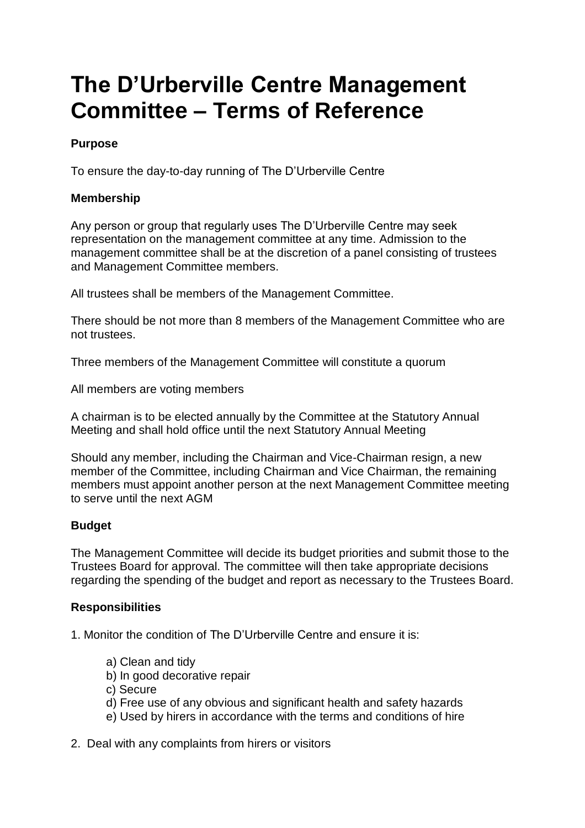# **The D'Urberville Centre Management Committee – Terms of Reference**

## **Purpose**

To ensure the day-to-day running of The D'Urberville Centre

## **Membership**

Any person or group that regularly uses The D'Urberville Centre may seek representation on the management committee at any time. Admission to the management committee shall be at the discretion of a panel consisting of trustees and Management Committee members.

All trustees shall be members of the Management Committee.

There should be not more than 8 members of the Management Committee who are not trustees.

Three members of the Management Committee will constitute a quorum

All members are voting members

A chairman is to be elected annually by the Committee at the Statutory Annual Meeting and shall hold office until the next Statutory Annual Meeting

Should any member, including the Chairman and Vice-Chairman resign, a new member of the Committee, including Chairman and Vice Chairman, the remaining members must appoint another person at the next Management Committee meeting to serve until the next AGM

#### **Budget**

The Management Committee will decide its budget priorities and submit those to the Trustees Board for approval. The committee will then take appropriate decisions regarding the spending of the budget and report as necessary to the Trustees Board.

#### **Responsibilities**

1. Monitor the condition of The D'Urberville Centre and ensure it is:

- a) Clean and tidy
- b) In good decorative repair
- c) Secure
- d) Free use of any obvious and significant health and safety hazards
- e) Used by hirers in accordance with the terms and conditions of hire
- 2. Deal with any complaints from hirers or visitors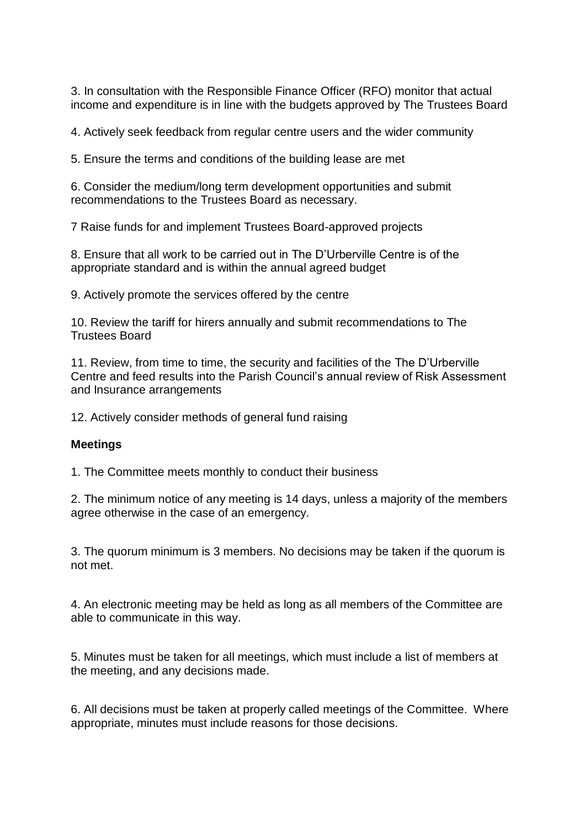3. In consultation with the Responsible Finance Officer (RFO) monitor that actual income and expenditure is in line with the budgets approved by The Trustees Board

4. Actively seek feedback from regular centre users and the wider community

5. Ensure the terms and conditions of the building lease are met

6. Consider the medium/long term development opportunities and submit recommendations to the Trustees Board as necessary.

7 Raise funds for and implement Trustees Board-approved projects

8. Ensure that all work to be carried out in The D'Urberville Centre is of the appropriate standard and is within the annual agreed budget

9. Actively promote the services offered by the centre

10. Review the tariff for hirers annually and submit recommendations to The Trustees Board

11. Review, from time to time, the security and facilities of the The D'Urberville Centre and feed results into the Parish Council's annual review of Risk Assessment and Insurance arrangements

12. Actively consider methods of general fund raising

#### **Meetings**

1. The Committee meets monthly to conduct their business

2. The minimum notice of any meeting is 14 days, unless a majority of the members agree otherwise in the case of an emergency.

3. The quorum minimum is 3 members. No decisions may be taken if the quorum is not met.

4. An electronic meeting may be held as long as all members of the Committee are able to communicate in this way.

5. Minutes must be taken for all meetings, which must include a list of members at the meeting, and any decisions made.

6. All decisions must be taken at properly called meetings of the Committee. Where appropriate, minutes must include reasons for those decisions.